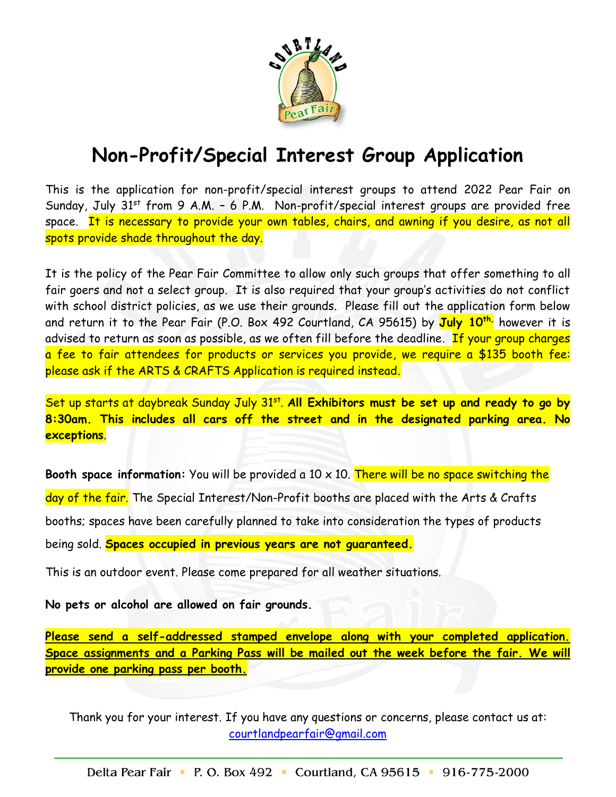

## **Non-Profit/Special Interest Group Application**

This is the application for non-profit/special interest groups to attend 2022 Pear Fair on Sunday, July  $31^{st}$  from 9 A.M. - 6 P.M. Non-profit/special interest groups are provided free space. It is necessary to provide your own tables, chairs, and awning if you desire, as not all spots provide shade throughout the day.

It is the policy of the Pear Fair Committee to allow only such groups that offer something to all fair goers and not a select group. It is also required that your group's activities do not conflict with school district policies, as we use their grounds. Please fill out the application form below and return it to the Pear Fair (P.O. Box 492 Courtland, CA 95615) by **July 10th,** however it is advised to return as soon as possible, as we often fill before the deadline. If your group charges a fee to fair attendees for products or services you provide, we require a \$135 booth fee: please ask if the ARTS & CRAFTS Application is required instead.

Set up starts at daybreak Sunday July 31<sup>st</sup>. All Exhibitors must be set up and ready to go by **8:30am. This includes all cars off the street and in the designated parking area. No exceptions**.

**Booth space information:** You will be provided a 10 x 10. There will be no space switching the day of the fair. The Special Interest/Non-Profit booths are placed with the Arts & Crafts booths; spaces have been carefully planned to take into consideration the types of products being sold. **Spaces occupied in previous years are not guaranteed.**

This is an outdoor event. Please come prepared for all weather situations.

**No pets or alcohol are allowed on fair grounds.**

**Please send a self-addressed stamped envelope along with your completed application. Space assignments and a Parking Pass will be mailed out the week before the fair. We will provide one parking pass per booth.**

Thank you for your interest. If you have any questions or concerns, please contact us at: [courtlandpearfair@gmail.com](mailto:courtlandpearfair@gmail.com)